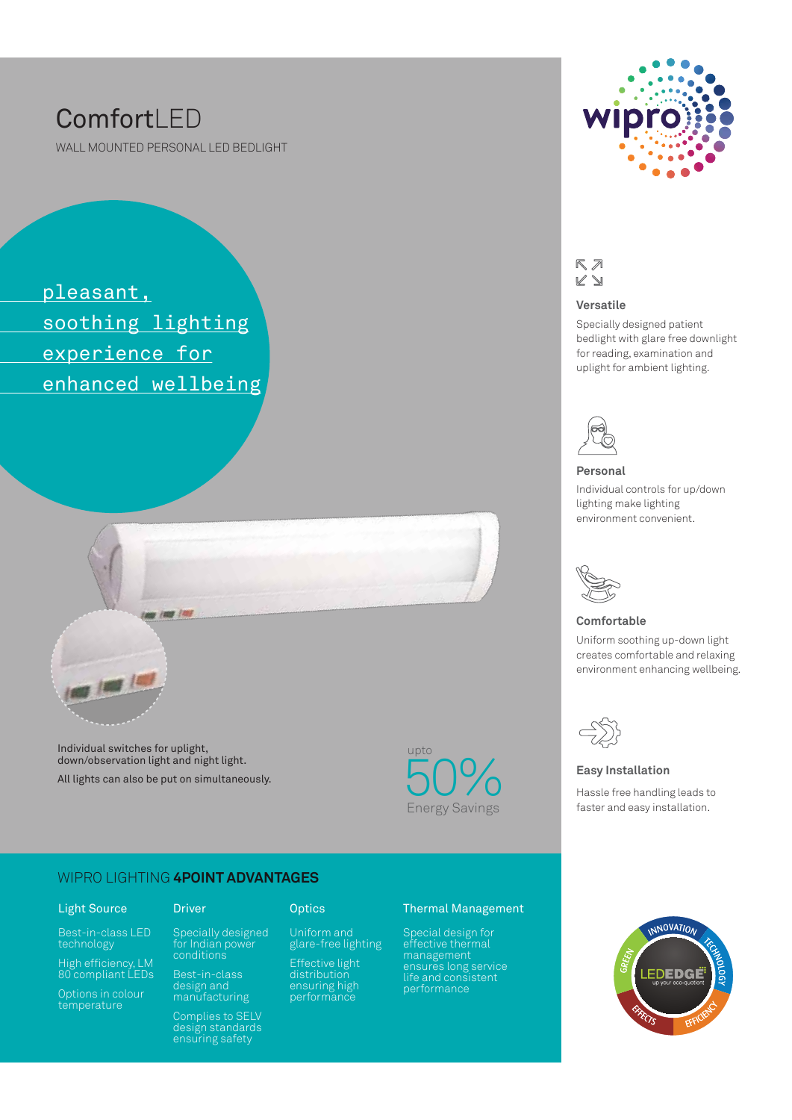# **ComfortLED**

WALL MOUNTED PERSONAL LED BEDLIGHT

 pleasant, soothing lighting experience for enhanced wellbeing



Individual switches for uplight, down/observation light and night light. All lights can also be put on simultaneously.



#### WIPRO LIGHTING **4POINT ADVANTAGES**

#### Light Source

technology

High efficiency, LM 80 compliant LEDs

Options in colour temperature

Specially designed for Indian power

Driver Optics

Uniform and glare-free lighting Effective light distribution ensuring high performance

### conditions design and

manufacturing Complies to SELV design standards ensuring safety

#### Thermal Management

Special design for effective thermal management ensures long service life and consistent performance



#### $R \n *n*$  $\not\ll \Delta$

#### **Versatile**

Specially designed patient bedlight with glare free downlight for reading, examination and uplight for ambient lighting.



#### **Personal**

Individual controls for up/down lighting make lighting environment convenient.



#### **Comfortable**

Uniform soothing up-down light creates comfortable and relaxing environment enhancing wellbeing.



#### **Easy Installation**

Hassle free handling leads to faster and easy installation.